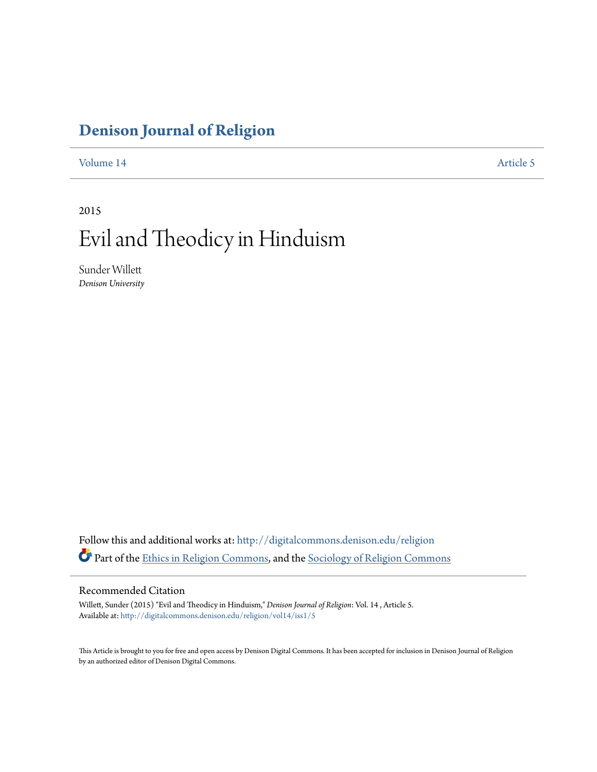# **[Denison Journal of Religion](http://digitalcommons.denison.edu/religion?utm_source=digitalcommons.denison.edu%2Freligion%2Fvol14%2Fiss1%2F5&utm_medium=PDF&utm_campaign=PDFCoverPages)**

[Volume 14](http://digitalcommons.denison.edu/religion/vol14?utm_source=digitalcommons.denison.edu%2Freligion%2Fvol14%2Fiss1%2F5&utm_medium=PDF&utm_campaign=PDFCoverPages) [Article 5](http://digitalcommons.denison.edu/religion/vol14/iss1/5?utm_source=digitalcommons.denison.edu%2Freligion%2Fvol14%2Fiss1%2F5&utm_medium=PDF&utm_campaign=PDFCoverPages)

2015

# Evil and Theodicy in Hinduism

Sunder Willett *Denison University*

Follow this and additional works at: [http://digitalcommons.denison.edu/religion](http://digitalcommons.denison.edu/religion?utm_source=digitalcommons.denison.edu%2Freligion%2Fvol14%2Fiss1%2F5&utm_medium=PDF&utm_campaign=PDFCoverPages) Part of the [Ethics in Religion Commons](http://network.bepress.com/hgg/discipline/541?utm_source=digitalcommons.denison.edu%2Freligion%2Fvol14%2Fiss1%2F5&utm_medium=PDF&utm_campaign=PDFCoverPages), and the [Sociology of Religion Commons](http://network.bepress.com/hgg/discipline/1365?utm_source=digitalcommons.denison.edu%2Freligion%2Fvol14%2Fiss1%2F5&utm_medium=PDF&utm_campaign=PDFCoverPages)

# Recommended Citation

Willett, Sunder (2015) "Evil and Theodicy in Hinduism," *Denison Journal of Religion*: Vol. 14 , Article 5. Available at: [http://digitalcommons.denison.edu/religion/vol14/iss1/5](http://digitalcommons.denison.edu/religion/vol14/iss1/5?utm_source=digitalcommons.denison.edu%2Freligion%2Fvol14%2Fiss1%2F5&utm_medium=PDF&utm_campaign=PDFCoverPages)

This Article is brought to you for free and open access by Denison Digital Commons. It has been accepted for inclusion in Denison Journal of Religion by an authorized editor of Denison Digital Commons.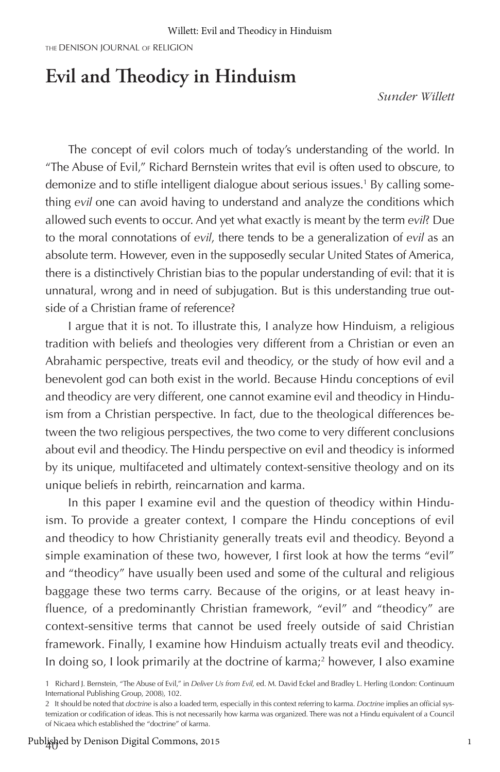THE DENISON JOURNAL OF RELIGION

# **Evil and Theodicy in Hinduism**

*Sunder Willett*

The concept of evil colors much of today's understanding of the world. In "The Abuse of Evil," Richard Bernstein writes that evil is often used to obscure, to demonize and to stifle intelligent dialogue about serious issues.<sup>1</sup> By calling something *evil* one can avoid having to understand and analyze the conditions which allowed such events to occur. And yet what exactly is meant by the term *evil*? Due to the moral connotations of *evil*, there tends to be a generalization of *evil* as an absolute term. However, even in the supposedly secular United States of America, there is a distinctively Christian bias to the popular understanding of evil: that it is unnatural, wrong and in need of subjugation. But is this understanding true outside of a Christian frame of reference?

I argue that it is not. To illustrate this, I analyze how Hinduism, a religious tradition with beliefs and theologies very different from a Christian or even an Abrahamic perspective, treats evil and theodicy, or the study of how evil and a benevolent god can both exist in the world. Because Hindu conceptions of evil and theodicy are very different, one cannot examine evil and theodicy in Hinduism from a Christian perspective. In fact, due to the theological differences between the two religious perspectives, the two come to very different conclusions about evil and theodicy. The Hindu perspective on evil and theodicy is informed by its unique, multifaceted and ultimately context-sensitive theology and on its unique beliefs in rebirth, reincarnation and karma.

In this paper I examine evil and the question of theodicy within Hinduism. To provide a greater context, I compare the Hindu conceptions of evil and theodicy to how Christianity generally treats evil and theodicy. Beyond a simple examination of these two, however, I first look at how the terms "evil" and "theodicy" have usually been used and some of the cultural and religious baggage these two terms carry. Because of the origins, or at least heavy influence, of a predominantly Christian framework, "evil" and "theodicy" are context-sensitive terms that cannot be used freely outside of said Christian framework. Finally, I examine how Hinduism actually treats evil and theodicy. In doing so, I look primarily at the doctrine of karma;<sup>2</sup> however, I also examine

<sup>1</sup> Richard J. Bernstein, "The Abuse of Evil," in *Deliver Us from Evil,* ed. M. David Eckel and Bradley L. Herling (London: Continuum International Publishing Group, 2008), 102.

<sup>2</sup> It should be noted that *doctrine* is also a loaded term, especially in this context referring to karma. *Doctrine* implies an official systemization or codification of ideas. This is not necessarily how karma was organized. There was not a Hindu equivalent of a Council of Nicaea which established the "doctrine" of karma.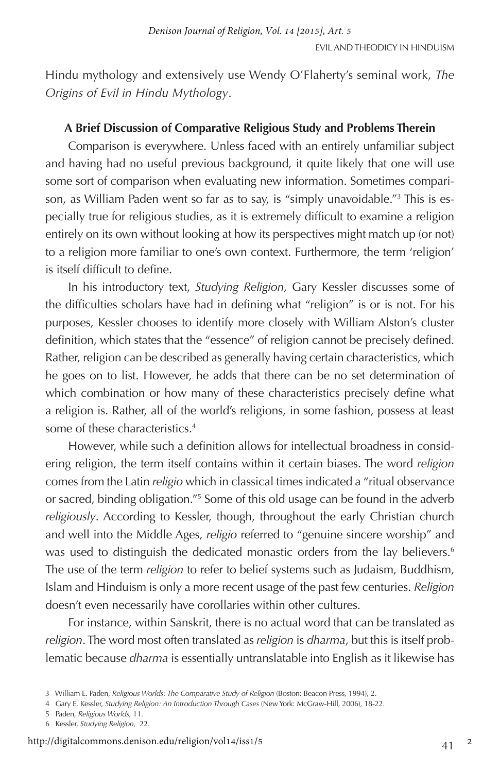Hindu mythology and extensively use Wendy O'Flaherty's seminal work, *The Origins of Evil in Hindu Mythology*.

# **A Brief Discussion of Comparative Religious Study and Problems Therein**

Comparison is everywhere. Unless faced with an entirely unfamiliar subject and having had no useful previous background, it quite likely that one will use some sort of comparison when evaluating new information. Sometimes comparison, as William Paden went so far as to say, is "simply unavoidable."3 This is especially true for religious studies, as it is extremely difficult to examine a religion entirely on its own without looking at how its perspectives might match up (or not) to a religion more familiar to one's own context. Furthermore, the term 'religion' is itself difficult to define.

In his introductory text, *Studying Religion,* Gary Kessler discusses some of the difficulties scholars have had in defining what "religion" is or is not. For his purposes, Kessler chooses to identify more closely with William Alston's cluster definition, which states that the "essence" of religion cannot be precisely defined. Rather, religion can be described as generally having certain characteristics, which he goes on to list. However, he adds that there can be no set determination of which combination or how many of these characteristics precisely define what a religion is. Rather, all of the world's religions, in some fashion, possess at least some of these characteristics.4

However, while such a definition allows for intellectual broadness in considering religion, the term itself contains within it certain biases. The word *religion* comes from the Latin *religio* which in classical times indicated a "ritual observance or sacred, binding obligation."<sup>5</sup> Some of this old usage can be found in the adverb *religiously*. According to Kessler, though, throughout the early Christian church and well into the Middle Ages, *religio* referred to "genuine sincere worship" and was used to distinguish the dedicated monastic orders from the lay believers.<sup>6</sup> The use of the term *religion* to refer to belief systems such as Judaism, Buddhism, Islam and Hinduism is only a more recent usage of the past few centuries. *Religion* doesn't even necessarily have corollaries within other cultures.

For instance, within Sanskrit, there is no actual word that can be translated as *religion*. The word most often translated as *religion* is *dharma*, but this is itself problematic because *dharma* is essentially untranslatable into English as it likewise has

- 5 Paden, *Religious Worlds,* 11.
- 6 Kessler, *Studying Religion,* 22.

<sup>3</sup> William E. Paden, *Religious Worlds: The Comparative Study of Religion* (Boston: Beacon Press, 1994), 2.

<sup>4</sup> Gary E. Kessler, *Studying Religion: An Introduction Through Cases* (New York: McGraw-Hill, 2006), 18-22.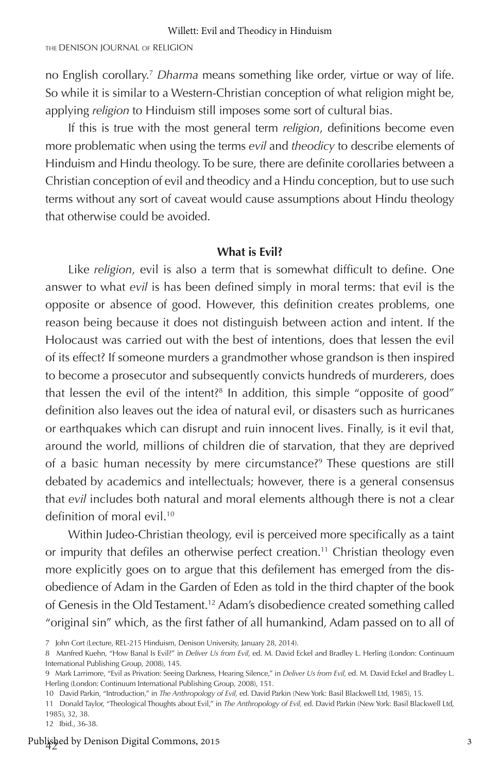no English corollary.7 *Dharma* means something like order, virtue or way of life. So while it is similar to a Western-Christian conception of what religion might be, applying *religion* to Hinduism still imposes some sort of cultural bias.

If this is true with the most general term *religion*, definitions become even more problematic when using the terms *evil* and *theodicy* to describe elements of Hinduism and Hindu theology. To be sure, there are definite corollaries between a Christian conception of evil and theodicy and a Hindu conception, but to use such terms without any sort of caveat would cause assumptions about Hindu theology that otherwise could be avoided.

### **What is Evil?**

Like *religion*, evil is also a term that is somewhat difficult to define. One answer to what *evil* is has been defined simply in moral terms: that evil is the opposite or absence of good. However, this definition creates problems, one reason being because it does not distinguish between action and intent. If the Holocaust was carried out with the best of intentions, does that lessen the evil of its effect? If someone murders a grandmother whose grandson is then inspired to become a prosecutor and subsequently convicts hundreds of murderers, does that lessen the evil of the intent?8 In addition, this simple "opposite of good" definition also leaves out the idea of natural evil, or disasters such as hurricanes or earthquakes which can disrupt and ruin innocent lives. Finally, is it evil that, around the world, millions of children die of starvation, that they are deprived of a basic human necessity by mere circumstance?<sup>9</sup> These questions are still debated by academics and intellectuals; however, there is a general consensus that *evil* includes both natural and moral elements although there is not a clear definition of moral evil.<sup>10</sup>

Within Judeo-Christian theology, evil is perceived more specifically as a taint or impurity that defiles an otherwise perfect creation.<sup>11</sup> Christian theology even more explicitly goes on to argue that this defilement has emerged from the disobedience of Adam in the Garden of Eden as told in the third chapter of the book of Genesis in the Old Testament.12 Adam's disobedience created something called "original sin" which, as the first father of all humankind, Adam passed on to all of

<sup>7</sup> John Cort (Lecture, REL-215 Hinduism, Denison University, January 28, 2014).

<sup>8</sup> Manfred Kuehn, "How Banal Is Evil?" in *Deliver Us from Evil,* ed. M. David Eckel and Bradley L. Herling (London: Continuum International Publishing Group, 2008), 145.

<sup>9</sup> Mark Larrimore, "Evil as Privation: Seeing Darkness, Hearing Silence," in *Deliver Us from Evil,* ed. M. David Eckel and Bradley L. Herling (London: Continuum International Publishing Group, 2008), 151.

<sup>10</sup> David Parkin, "Introduction," in *The Anthropology of Evil,* ed. David Parkin (New York: Basil Blackwell Ltd, 1985), 15.

<sup>11</sup> Donald Taylor, "Theological Thoughts about Evil," in *The Anthropology of Evil,* ed. David Parkin (New York: Basil Blackwell Ltd, 1985), 32, 38.

<sup>12</sup> Ibid., 36-38.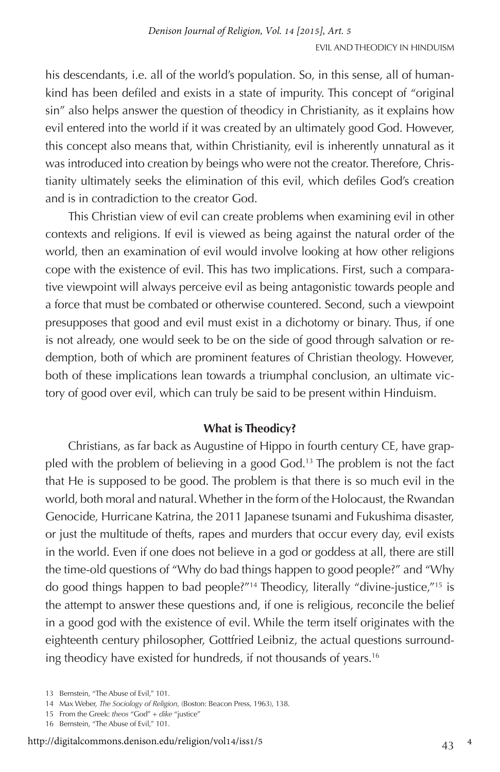his descendants, i.e. all of the world's population. So, in this sense, all of humankind has been defiled and exists in a state of impurity. This concept of "original sin" also helps answer the question of theodicy in Christianity, as it explains how evil entered into the world if it was created by an ultimately good God. However, this concept also means that, within Christianity, evil is inherently unnatural as it was introduced into creation by beings who were not the creator. Therefore, Christianity ultimately seeks the elimination of this evil, which defiles God's creation and is in contradiction to the creator God.

This Christian view of evil can create problems when examining evil in other contexts and religions. If evil is viewed as being against the natural order of the world, then an examination of evil would involve looking at how other religions cope with the existence of evil. This has two implications. First, such a comparative viewpoint will always perceive evil as being antagonistic towards people and a force that must be combated or otherwise countered. Second, such a viewpoint presupposes that good and evil must exist in a dichotomy or binary. Thus, if one is not already, one would seek to be on the side of good through salvation or redemption, both of which are prominent features of Christian theology. However, both of these implications lean towards a triumphal conclusion, an ultimate victory of good over evil, which can truly be said to be present within Hinduism.

# **What is Theodicy?**

Christians, as far back as Augustine of Hippo in fourth century CE, have grappled with the problem of believing in a good God.<sup>13</sup> The problem is not the fact that He is supposed to be good. The problem is that there is so much evil in the world, both moral and natural. Whether in the form of the Holocaust, the Rwandan Genocide, Hurricane Katrina, the 2011 Japanese tsunami and Fukushima disaster, or just the multitude of thefts, rapes and murders that occur every day, evil exists in the world. Even if one does not believe in a god or goddess at all, there are still the time-old questions of "Why do bad things happen to good people?" and "Why do good things happen to bad people?"14 Theodicy, literally "divine-justice,"15 is the attempt to answer these questions and, if one is religious, reconcile the belief in a good god with the existence of evil. While the term itself originates with the eighteenth century philosopher, Gottfried Leibniz, the actual questions surrounding theodicy have existed for hundreds, if not thousands of years.16

<sup>13</sup> Bernstein, "The Abuse of Evil," 101.

<sup>14</sup> Max Weber, *The Sociology of Religion,* (Boston: Beacon Press, 1963), 138.

<sup>15</sup> From the Greek: *theos* "God" + *dike* "justice"

<sup>16</sup> Bernstein, "The Abuse of Evil," 101.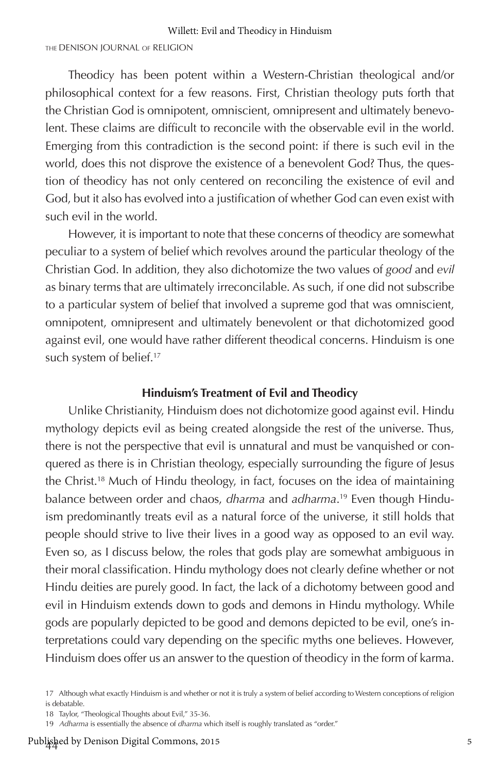#### THE DENISON JOURNAL OF RELIGION

Theodicy has been potent within a Western-Christian theological and/or philosophical context for a few reasons. First, Christian theology puts forth that the Christian God is omnipotent, omniscient, omnipresent and ultimately benevolent. These claims are difficult to reconcile with the observable evil in the world. Emerging from this contradiction is the second point: if there is such evil in the world, does this not disprove the existence of a benevolent God? Thus, the question of theodicy has not only centered on reconciling the existence of evil and God, but it also has evolved into a justification of whether God can even exist with such evil in the world.

However, it is important to note that these concerns of theodicy are somewhat peculiar to a system of belief which revolves around the particular theology of the Christian God. In addition, they also dichotomize the two values of *good* and *evil* as binary terms that are ultimately irreconcilable. As such, if one did not subscribe to a particular system of belief that involved a supreme god that was omniscient, omnipotent, omnipresent and ultimately benevolent or that dichotomized good against evil, one would have rather different theodical concerns. Hinduism is one such system of belief.<sup>17</sup>

#### **Hinduism's Treatment of Evil and Theodicy**

Unlike Christianity, Hinduism does not dichotomize good against evil. Hindu mythology depicts evil as being created alongside the rest of the universe. Thus, there is not the perspective that evil is unnatural and must be vanquished or conquered as there is in Christian theology, especially surrounding the figure of Jesus the Christ.18 Much of Hindu theology, in fact, focuses on the idea of maintaining balance between order and chaos, *dharma* and *adharma*. 19 Even though Hinduism predominantly treats evil as a natural force of the universe, it still holds that people should strive to live their lives in a good way as opposed to an evil way. Even so, as I discuss below, the roles that gods play are somewhat ambiguous in their moral classification. Hindu mythology does not clearly define whether or not Hindu deities are purely good. In fact, the lack of a dichotomy between good and evil in Hinduism extends down to gods and demons in Hindu mythology. While gods are popularly depicted to be good and demons depicted to be evil, one's interpretations could vary depending on the specific myths one believes. However, Hinduism does offer us an answer to the question of theodicy in the form of karma.

<sup>17</sup> Although what exactly Hinduism is and whether or not it is truly a system of belief according to Western conceptions of religion is debatable.

<sup>18</sup> Taylor, "Theological Thoughts about Evil," 35-36.

<sup>19</sup> *Adharma* is essentially the absence of *dharma* which itself is roughly translated as "order."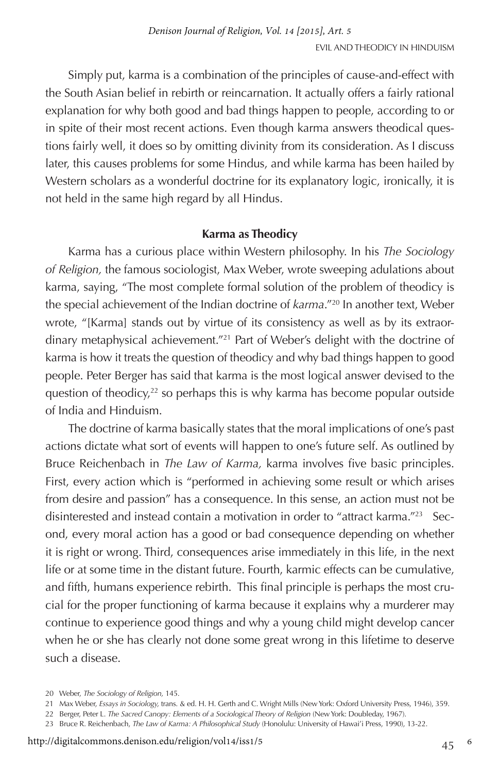Simply put, karma is a combination of the principles of cause-and-effect with the South Asian belief in rebirth or reincarnation. It actually offers a fairly rational explanation for why both good and bad things happen to people, according to or in spite of their most recent actions. Even though karma answers theodical questions fairly well, it does so by omitting divinity from its consideration. As I discuss later, this causes problems for some Hindus, and while karma has been hailed by Western scholars as a wonderful doctrine for its explanatory logic, ironically, it is not held in the same high regard by all Hindus.

## **Karma as Theodicy**

Karma has a curious place within Western philosophy. In his *The Sociology of Religion,* the famous sociologist, Max Weber, wrote sweeping adulations about karma, saying, "The most complete formal solution of the problem of theodicy is the special achievement of the Indian doctrine of *karma*."20 In another text, Weber wrote, "[Karma] stands out by virtue of its consistency as well as by its extraordinary metaphysical achievement."21 Part of Weber's delight with the doctrine of karma is how it treats the question of theodicy and why bad things happen to good people. Peter Berger has said that karma is the most logical answer devised to the question of theodicy,<sup>22</sup> so perhaps this is why karma has become popular outside of India and Hinduism.

The doctrine of karma basically states that the moral implications of one's past actions dictate what sort of events will happen to one's future self. As outlined by Bruce Reichenbach in *The Law of Karma,* karma involves five basic principles. First, every action which is "performed in achieving some result or which arises from desire and passion" has a consequence. In this sense, an action must not be disinterested and instead contain a motivation in order to "attract karma."23 Second, every moral action has a good or bad consequence depending on whether it is right or wrong. Third, consequences arise immediately in this life, in the next life or at some time in the distant future. Fourth, karmic effects can be cumulative, and fifth, humans experience rebirth. This final principle is perhaps the most crucial for the proper functioning of karma because it explains why a murderer may continue to experience good things and why a young child might develop cancer when he or she has clearly not done some great wrong in this lifetime to deserve such a disease.

<sup>20</sup> Weber, *The Sociology of Religion,* 145.

<sup>21</sup> Max Weber, *Essays in Sociology,* trans. & ed. H. H. Gerth and C. Wright Mills (New York: Oxford University Press, 1946), 359.

<sup>22</sup> Berger, Peter L. *The Sacred Canopy: Elements of a Sociological Theory of Religion* (New York: Doubleday, 1967).

<sup>23</sup> Bruce R. Reichenbach, *The Law of Karma: A Philosophical Study* (Honolulu: University of Hawai'i Press, 1990), 13-22.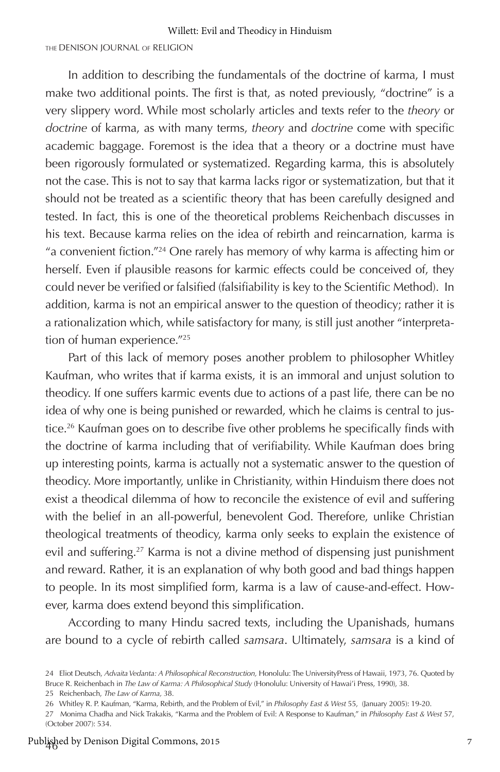#### THE DENISON JOURNAL OF RELIGION

In addition to describing the fundamentals of the doctrine of karma, I must make two additional points. The first is that, as noted previously, "doctrine" is a very slippery word. While most scholarly articles and texts refer to the *theory* or *doctrine* of karma, as with many terms, *theory* and *doctrine* come with specific academic baggage. Foremost is the idea that a theory or a doctrine must have been rigorously formulated or systematized. Regarding karma, this is absolutely not the case. This is not to say that karma lacks rigor or systematization, but that it should not be treated as a scientific theory that has been carefully designed and tested. In fact, this is one of the theoretical problems Reichenbach discusses in his text. Because karma relies on the idea of rebirth and reincarnation, karma is "a convenient fiction."24 One rarely has memory of why karma is affecting him or herself. Even if plausible reasons for karmic effects could be conceived of, they could never be verified or falsified (falsifiability is key to the Scientific Method). In addition, karma is not an empirical answer to the question of theodicy; rather it is a rationalization which, while satisfactory for many, is still just another "interpretation of human experience."25

Part of this lack of memory poses another problem to philosopher Whitley Kaufman, who writes that if karma exists, it is an immoral and unjust solution to theodicy. If one suffers karmic events due to actions of a past life, there can be no idea of why one is being punished or rewarded, which he claims is central to justice.26 Kaufman goes on to describe five other problems he specifically finds with the doctrine of karma including that of verifiability. While Kaufman does bring up interesting points, karma is actually not a systematic answer to the question of theodicy. More importantly, unlike in Christianity, within Hinduism there does not exist a theodical dilemma of how to reconcile the existence of evil and suffering with the belief in an all-powerful, benevolent God. Therefore, unlike Christian theological treatments of theodicy, karma only seeks to explain the existence of evil and suffering.<sup>27</sup> Karma is not a divine method of dispensing just punishment and reward. Rather, it is an explanation of why both good and bad things happen to people. In its most simplified form, karma is a law of cause-and-effect. However, karma does extend beyond this simplification.

According to many Hindu sacred texts, including the Upanishads, humans are bound to a cycle of rebirth called *samsara*. Ultimately, *samsara* is a kind of

<sup>24</sup> Eliot Deutsch, *Advaita Vedanta: A Philosophical Reconstruction,* Honolulu: The UniversityPress of Hawaii, 1973, 76. Quoted by Bruce R. Reichenbach in *The Law of Karma: A Philosophical Study* (Honolulu: University of Hawai'i Press, 1990), 38.

<sup>25</sup> Reichenbach, *The Law of Karma,* 38.

<sup>26</sup> Whitley R. P. Kaufman, "Karma, Rebirth, and the Problem of Evil," in *Philosophy East & West* 55, (January 2005): 19-20.

<sup>27</sup> Monima Chadha and Nick Trakakis, "Karma and the Problem of Evil: A Response to Kaufman," in *Philosophy East & West* 57, (October 2007): 534.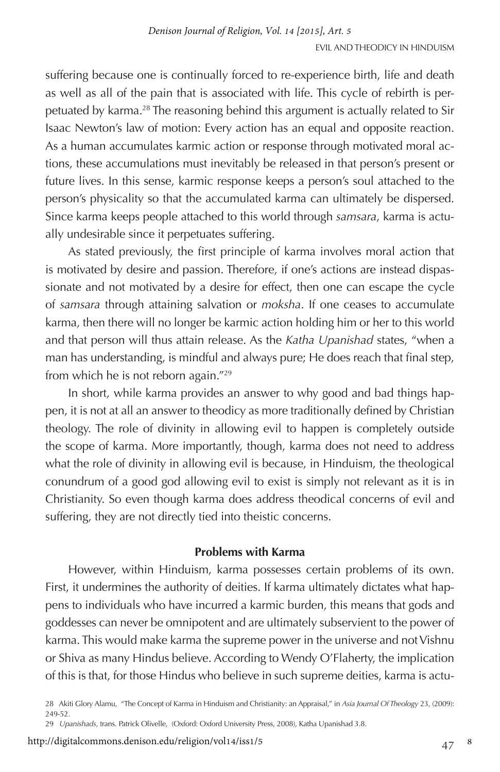suffering because one is continually forced to re-experience birth, life and death as well as all of the pain that is associated with life. This cycle of rebirth is perpetuated by karma.<sup>28</sup> The reasoning behind this argument is actually related to Sir Isaac Newton's law of motion: Every action has an equal and opposite reaction. As a human accumulates karmic action or response through motivated moral actions, these accumulations must inevitably be released in that person's present or future lives. In this sense, karmic response keeps a person's soul attached to the person's physicality so that the accumulated karma can ultimately be dispersed. Since karma keeps people attached to this world through *samsara*, karma is actually undesirable since it perpetuates suffering.

As stated previously, the first principle of karma involves moral action that is motivated by desire and passion. Therefore, if one's actions are instead dispassionate and not motivated by a desire for effect, then one can escape the cycle of *samsara* through attaining salvation or *moksha*. If one ceases to accumulate karma, then there will no longer be karmic action holding him or her to this world and that person will thus attain release. As the *Katha Upanishad* states, "when a man has understanding, is mindful and always pure; He does reach that final step, from which he is not reborn again."29

In short, while karma provides an answer to why good and bad things happen, it is not at all an answer to theodicy as more traditionally defined by Christian theology. The role of divinity in allowing evil to happen is completely outside the scope of karma. More importantly, though, karma does not need to address what the role of divinity in allowing evil is because, in Hinduism, the theological conundrum of a good god allowing evil to exist is simply not relevant as it is in Christianity. So even though karma does address theodical concerns of evil and suffering, they are not directly tied into theistic concerns.

#### **Problems with Karma**

However, within Hinduism, karma possesses certain problems of its own. First, it undermines the authority of deities. If karma ultimately dictates what happens to individuals who have incurred a karmic burden, this means that gods and goddesses can never be omnipotent and are ultimately subservient to the power of karma. This would make karma the supreme power in the universe and not Vishnu or Shiva as many Hindus believe. According to Wendy O'Flaherty, the implication of this is that, for those Hindus who believe in such supreme deities, karma is actu-

28 Akiti Glory Alamu, "The Concept of Karma in Hinduism and Christianity: an Appraisal," in *Asia Journal Of Theology* 23, (2009): 249-52.

29 *Upanishads,* trans. Patrick Olivelle, (Oxford: Oxford University Press, 2008), Katha Upanishad 3.8.

http://digitalcommons.denison.edu/religion/vol14/iss1/5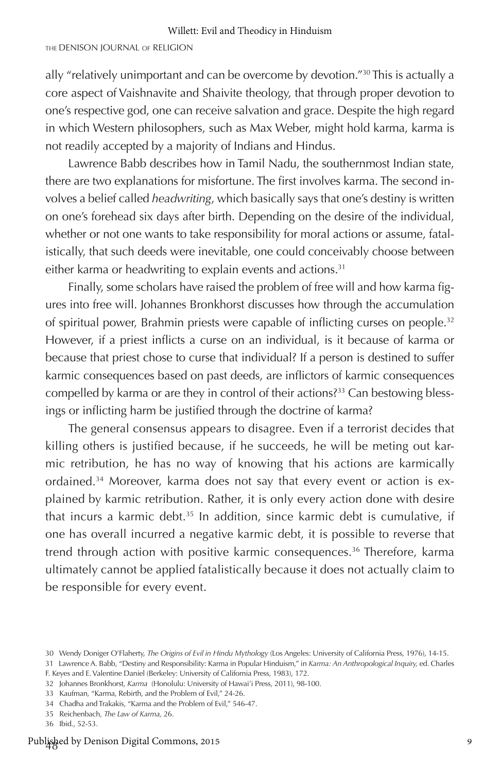#### THE DENISON JOURNAL OF RELIGION

ally "relatively unimportant and can be overcome by devotion."30 This is actually a core aspect of Vaishnavite and Shaivite theology, that through proper devotion to one's respective god, one can receive salvation and grace. Despite the high regard in which Western philosophers, such as Max Weber, might hold karma, karma is not readily accepted by a majority of Indians and Hindus.

Lawrence Babb describes how in Tamil Nadu, the southernmost Indian state, there are two explanations for misfortune. The first involves karma. The second involves a belief called *headwriting*, which basically says that one's destiny is written on one's forehead six days after birth. Depending on the desire of the individual, whether or not one wants to take responsibility for moral actions or assume, fatalistically, that such deeds were inevitable, one could conceivably choose between either karma or headwriting to explain events and actions.<sup>31</sup>

Finally, some scholars have raised the problem of free will and how karma figures into free will. Johannes Bronkhorst discusses how through the accumulation of spiritual power, Brahmin priests were capable of inflicting curses on people.<sup>32</sup> However, if a priest inflicts a curse on an individual, is it because of karma or because that priest chose to curse that individual? If a person is destined to suffer karmic consequences based on past deeds, are inflictors of karmic consequences compelled by karma or are they in control of their actions?<sup>33</sup> Can bestowing blessings or inflicting harm be justified through the doctrine of karma?

The general consensus appears to disagree. Even if a terrorist decides that killing others is justified because, if he succeeds, he will be meting out karmic retribution, he has no way of knowing that his actions are karmically ordained.34 Moreover, karma does not say that every event or action is explained by karmic retribution. Rather, it is only every action done with desire that incurs a karmic debt.<sup>35</sup> In addition, since karmic debt is cumulative, if one has overall incurred a negative karmic debt, it is possible to reverse that trend through action with positive karmic consequences.36 Therefore, karma ultimately cannot be applied fatalistically because it does not actually claim to be responsible for every event.

31 Lawrence A. Babb, "Destiny and Responsibility: Karma in Popular Hinduism," in *Karma: An Anthropological Inquiry,* ed. Charles F. Keyes and E. Valentine Daniel (Berkeley: University of California Press, 1983), 172.

33 Kaufman, "Karma, Rebirth, and the Problem of Evil," 24-26.

<sup>30</sup> Wendy Doniger O'Flaherty, *The Origins of Evil in Hindu Mythology* (Los Angeles: University of California Press, 1976), 14-15.

<sup>32</sup> Johannes Bronkhorst, *Karma* (Honolulu: University of Hawai'i Press, 2011), 98-100.

<sup>34</sup> Chadha and Trakakis, "Karma and the Problem of Evil," 546-47.

<sup>35</sup> Reichenbach, *The Law of Karma,* 26.

<sup>36</sup> Ibid., 52-53.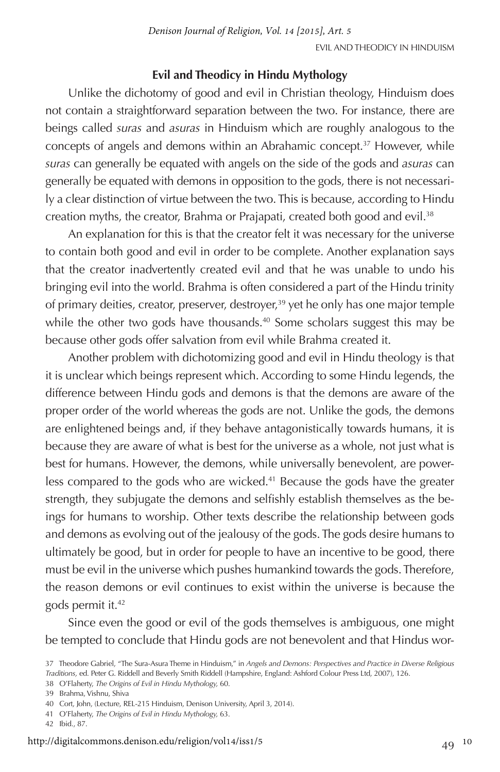# **Evil and Theodicy in Hindu Mythology**

Unlike the dichotomy of good and evil in Christian theology, Hinduism does not contain a straightforward separation between the two. For instance, there are beings called *suras* and *asuras* in Hinduism which are roughly analogous to the concepts of angels and demons within an Abrahamic concept.37 However, while *suras* can generally be equated with angels on the side of the gods and *asuras* can generally be equated with demons in opposition to the gods, there is not necessarily a clear distinction of virtue between the two. This is because, according to Hindu creation myths, the creator, Brahma or Prajapati, created both good and evil.<sup>38</sup>

An explanation for this is that the creator felt it was necessary for the universe to contain both good and evil in order to be complete. Another explanation says that the creator inadvertently created evil and that he was unable to undo his bringing evil into the world. Brahma is often considered a part of the Hindu trinity of primary deities, creator, preserver, destroyer,<sup>39</sup> yet he only has one major temple while the other two gods have thousands.<sup>40</sup> Some scholars suggest this may be because other gods offer salvation from evil while Brahma created it.

Another problem with dichotomizing good and evil in Hindu theology is that it is unclear which beings represent which. According to some Hindu legends, the difference between Hindu gods and demons is that the demons are aware of the proper order of the world whereas the gods are not. Unlike the gods, the demons are enlightened beings and, if they behave antagonistically towards humans, it is because they are aware of what is best for the universe as a whole, not just what is best for humans. However, the demons, while universally benevolent, are powerless compared to the gods who are wicked.41 Because the gods have the greater strength, they subjugate the demons and selfishly establish themselves as the beings for humans to worship. Other texts describe the relationship between gods and demons as evolving out of the jealousy of the gods. The gods desire humans to ultimately be good, but in order for people to have an incentive to be good, there must be evil in the universe which pushes humankind towards the gods. Therefore, the reason demons or evil continues to exist within the universe is because the gods permit it.42

Since even the good or evil of the gods themselves is ambiguous, one might be tempted to conclude that Hindu gods are not benevolent and that Hindus wor-

<sup>37</sup> Theodore Gabriel, "The Sura-Asura Theme in Hinduism," in *Angels and Demons: Perspectives and Practice in Diverse Religious Traditions,* ed. Peter G. Riddell and Beverly Smith Riddell (Hampshire, England: Ashford Colour Press Ltd, 2007), 126. 38 O'Flaherty, *The Origins of Evil in Hindu Mythology,* 60.

<sup>39</sup> Brahma, Vishnu, Shiva

<sup>40</sup> Cort, John, (Lecture, REL-215 Hinduism, Denison University, April 3, 2014).

<sup>41</sup> O'Flaherty, *The Origins of Evil in Hindu Mythology,* 63.

<sup>42</sup> Ibid., 87.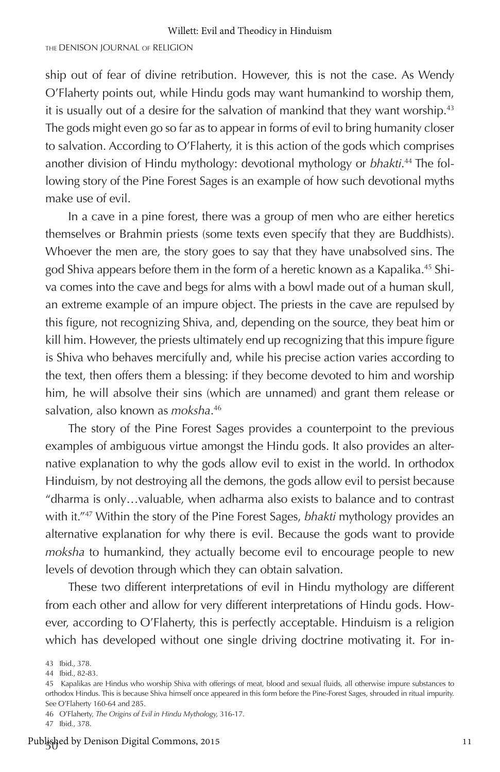ship out of fear of divine retribution. However, this is not the case. As Wendy O'Flaherty points out, while Hindu gods may want humankind to worship them, it is usually out of a desire for the salvation of mankind that they want worship.<sup>43</sup> The gods might even go so far as to appear in forms of evil to bring humanity closer to salvation. According to O'Flaherty, it is this action of the gods which comprises another division of Hindu mythology: devotional mythology or *bhakti*. 44 The following story of the Pine Forest Sages is an example of how such devotional myths make use of evil.

In a cave in a pine forest, there was a group of men who are either heretics themselves or Brahmin priests (some texts even specify that they are Buddhists). Whoever the men are, the story goes to say that they have unabsolved sins. The god Shiva appears before them in the form of a heretic known as a Kapalika.45 Shiva comes into the cave and begs for alms with a bowl made out of a human skull, an extreme example of an impure object. The priests in the cave are repulsed by this figure, not recognizing Shiva, and, depending on the source, they beat him or kill him. However, the priests ultimately end up recognizing that this impure figure is Shiva who behaves mercifully and, while his precise action varies according to the text, then offers them a blessing: if they become devoted to him and worship him, he will absolve their sins (which are unnamed) and grant them release or salvation, also known as *moksha*. 46

The story of the Pine Forest Sages provides a counterpoint to the previous examples of ambiguous virtue amongst the Hindu gods. It also provides an alternative explanation to why the gods allow evil to exist in the world. In orthodox Hinduism, by not destroying all the demons, the gods allow evil to persist because "dharma is only…valuable, when adharma also exists to balance and to contrast with it."47 Within the story of the Pine Forest Sages, *bhakti* mythology provides an alternative explanation for why there is evil. Because the gods want to provide *moksha* to humankind, they actually become evil to encourage people to new levels of devotion through which they can obtain salvation.

These two different interpretations of evil in Hindu mythology are different from each other and allow for very different interpretations of Hindu gods. However, according to O'Flaherty, this is perfectly acceptable. Hinduism is a religion which has developed without one single driving doctrine motivating it. For in-

<sup>43</sup> Ibid., 378.

<sup>44</sup> Ibid., 82-83.

<sup>45</sup> Kapalikas are Hindus who worship Shiva with offerings of meat, blood and sexual fluids, all otherwise impure substances to orthodox Hindus. This is because Shiva himself once appeared in this form before the Pine-Forest Sages, shrouded in ritual impurity. See O'Flaherty 160-64 and 285.

<sup>46</sup> O'Flaherty, *The Origins of Evil in Hindu Mythology,* 316-17.

<sup>47</sup> Ibid., 378.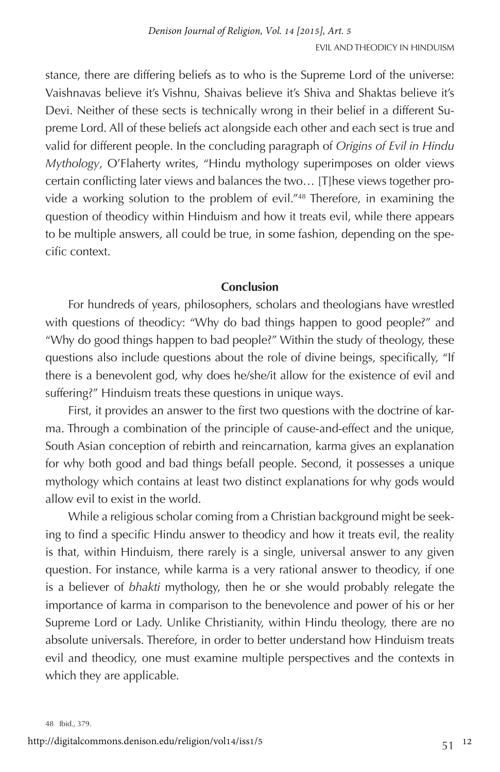stance, there are differing beliefs as to who is the Supreme Lord of the universe: Vaishnavas believe it's Vishnu, Shaivas believe it's Shiva and Shaktas believe it's Devi. Neither of these sects is technically wrong in their belief in a different Supreme Lord. All of these beliefs act alongside each other and each sect is true and valid for different people. In the concluding paragraph of *Origins of Evil in Hindu Mythology*, O'Flaherty writes, "Hindu mythology superimposes on older views certain conflicting later views and balances the two… [T]hese views together provide a working solution to the problem of evil."48 Therefore, in examining the question of theodicy within Hinduism and how it treats evil, while there appears to be multiple answers, all could be true, in some fashion, depending on the specific context.

## **Conclusion**

For hundreds of years, philosophers, scholars and theologians have wrestled with questions of theodicy: "Why do bad things happen to good people?" and "Why do good things happen to bad people?" Within the study of theology, these questions also include questions about the role of divine beings, specifically, "If there is a benevolent god, why does he/she/it allow for the existence of evil and suffering?" Hinduism treats these questions in unique ways.

First, it provides an answer to the first two questions with the doctrine of karma. Through a combination of the principle of cause-and-effect and the unique, South Asian conception of rebirth and reincarnation, karma gives an explanation for why both good and bad things befall people. Second, it possesses a unique mythology which contains at least two distinct explanations for why gods would allow evil to exist in the world.

While a religious scholar coming from a Christian background might be seeking to find a specific Hindu answer to theodicy and how it treats evil, the reality is that, within Hinduism, there rarely is a single, universal answer to any given question. For instance, while karma is a very rational answer to theodicy, if one is a believer of *bhakti* mythology, then he or she would probably relegate the importance of karma in comparison to the benevolence and power of his or her Supreme Lord or Lady. Unlike Christianity, within Hindu theology, there are no absolute universals. Therefore, in order to better understand how Hinduism treats evil and theodicy, one must examine multiple perspectives and the contexts in which they are applicable.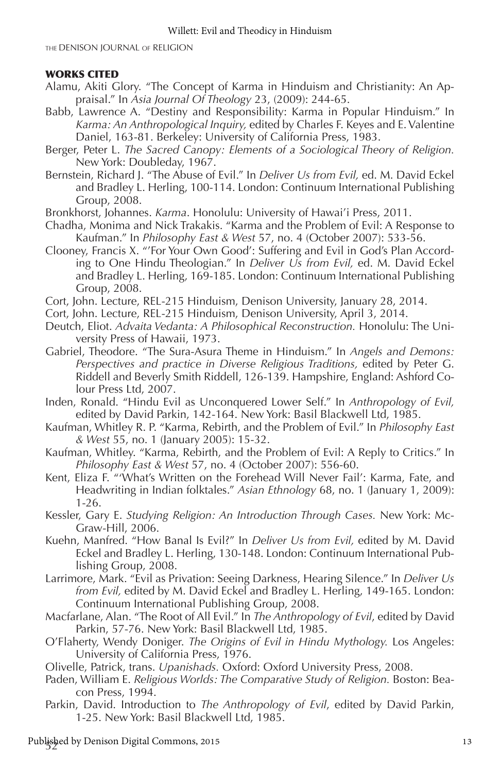THE DENISON JOURNAL OF RELIGION

#### WORKS CITED

- Alamu, Akiti Glory. "The Concept of Karma in Hinduism and Christianity: An Appraisal." In *Asia Journal Of Theology* 23, (2009): 244-65.
- Babb, Lawrence A. "Destiny and Responsibility: Karma in Popular Hinduism." In *Karma: An Anthropological Inquiry,* edited by Charles F. Keyes and E. Valentine Daniel, 163-81. Berkeley: University of California Press, 1983.
- Berger, Peter L. *The Sacred Canopy: Elements of a Sociological Theory of Religion.*  New York: Doubleday, 1967.
- Bernstein, Richard J. "The Abuse of Evil." In *Deliver Us from Evil,* ed. M. David Eckel and Bradley L. Herling, 100-114. London: Continuum International Publishing Group, 2008.
- Bronkhorst, Johannes. *Karma*. Honolulu: University of Hawai'i Press, 2011.
- Chadha, Monima and Nick Trakakis. "Karma and the Problem of Evil: A Response to Kaufman." In *Philosophy East & West* 57, no. 4 (October 2007): 533-56.
- Clooney, Francis X. "'For Your Own Good': Suffering and Evil in God's Plan According to One Hindu Theologian." In *Deliver Us from Evil,* ed. M. David Eckel and Bradley L. Herling, 169-185. London: Continuum International Publishing Group, 2008.
- Cort, John. Lecture, REL-215 Hinduism, Denison University, January 28, 2014.
- Cort, John. Lecture, REL-215 Hinduism, Denison University, April 3, 2014.
- Deutch, Eliot. *Advaita Vedanta: A Philosophical Reconstruction.* Honolulu: The University Press of Hawaii, 1973.
- Gabriel, Theodore. "The Sura-Asura Theme in Hinduism." In *Angels and Demons: Perspectives and practice in Diverse Religious Traditions,* edited by Peter G. Riddell and Beverly Smith Riddell, 126-139. Hampshire, England: Ashford Colour Press Ltd, 2007.
- Inden, Ronald. "Hindu Evil as Unconquered Lower Self." In *Anthropology of Evil,*  edited by David Parkin, 142-164. New York: Basil Blackwell Ltd, 1985.
- Kaufman, Whitley R. P. "Karma, Rebirth, and the Problem of Evil." In *Philosophy East & West* 55, no. 1 (January 2005): 15-32.
- Kaufman, Whitley. "Karma, Rebirth, and the Problem of Evil: A Reply to Critics." In *Philosophy East & West* 57, no. 4 (October 2007): 556-60.
- Kent, Eliza F. "'What's Written on the Forehead Will Never Fail': Karma, Fate, and Headwriting in Indian folktales." *Asian Ethnology* 68, no. 1 (January 1, 2009): 1-26.
- Kessler, Gary E. *Studying Religion: An Introduction Through Cases.* New York: Mc-Graw-Hill, 2006.
- Kuehn, Manfred. "How Banal Is Evil?" In *Deliver Us from Evil,* edited by M. David Eckel and Bradley L. Herling, 130-148. London: Continuum International Publishing Group, 2008.
- Larrimore, Mark. "Evil as Privation: Seeing Darkness, Hearing Silence." In *Deliver Us from Evil,* edited by M. David Eckel and Bradley L. Herling, 149-165. London: Continuum International Publishing Group, 2008.
- Macfarlane, Alan. "The Root of All Evil." In *The Anthropology of Evil*, edited by David Parkin, 57-76. New York: Basil Blackwell Ltd, 1985.
- O'Flaherty, Wendy Doniger. *The Origins of Evil in Hindu Mythology.* Los Angeles: University of California Press, 1976.
- Olivelle, Patrick, trans. *Upanishads.* Oxford: Oxford University Press, 2008.
- Paden, William E. *Religious Worlds: The Comparative Study of Religion.* Boston: Beacon Press, 1994.
- Parkin, David. Introduction to *The Anthropology of Evil*, edited by David Parkin, 1-25. New York: Basil Blackwell Ltd, 1985.